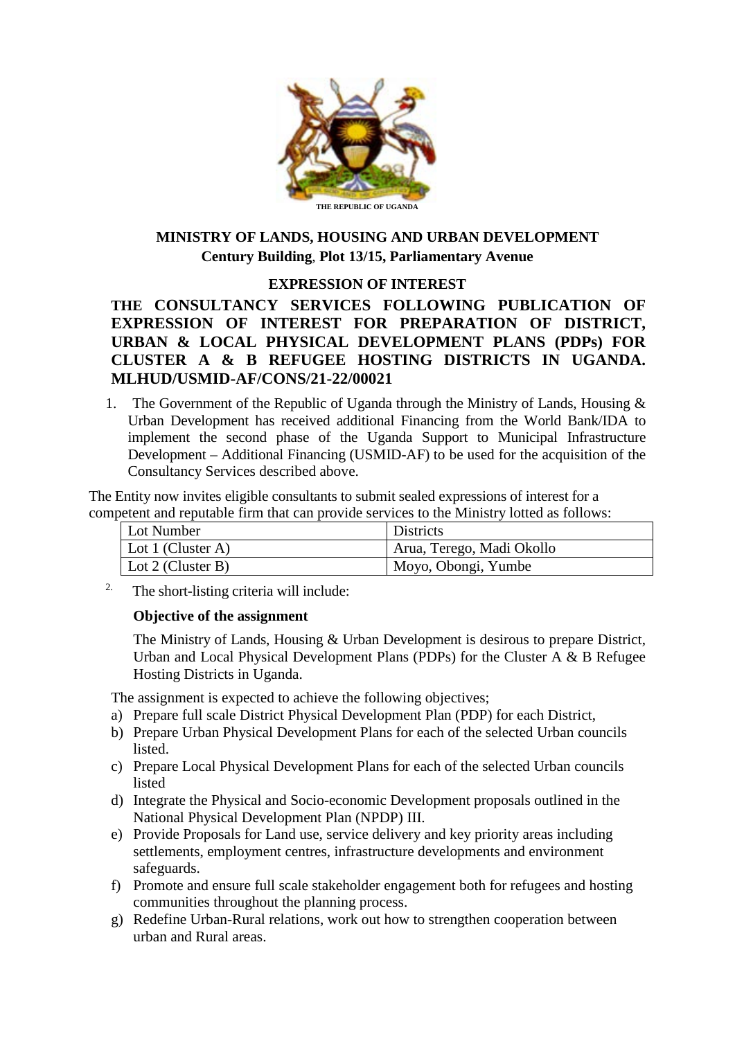

## **MINISTRY OF LANDS, HOUSING AND URBAN DEVELOPMENT Century Building**, **Plot 13/15, Parliamentary Avenue**

## **EXPRESSION OF INTEREST**

**THE CONSULTANCY SERVICES FOLLOWING PUBLICATION OF EXPRESSION OF INTEREST FOR PREPARATION OF DISTRICT, URBAN & LOCAL PHYSICAL DEVELOPMENT PLANS (PDPs) FOR CLUSTER A & B REFUGEE HOSTING DISTRICTS IN UGANDA. MLHUD/USMID-AF/CONS/21-22/00021**

1. The Government of the Republic of Uganda through the Ministry of Lands, Housing & Urban Development has received additional Financing from the World Bank/IDA to implement the second phase of the Uganda Support to Municipal Infrastructure Development – Additional Financing (USMID-AF) to be used for the acquisition of the Consultancy Services described above.

The Entity now invites eligible consultants to submit sealed expressions of interest for a competent and reputable firm that can provide services to the Ministry lotted as follows:

| Lot Number                | <b>Districts</b>          |
|---------------------------|---------------------------|
| Lot 1 (Cluster A)         | Arua, Terego, Madi Okollo |
| $\vert$ Lot 2 (Cluster B) | Moyo, Obongi, Yumbe       |

<sup>2.</sup> The short-listing criteria will include:

#### **Objective of the assignment**

The Ministry of Lands, Housing & Urban Development is desirous to prepare District, Urban and Local Physical Development Plans (PDPs) for the Cluster A & B Refugee Hosting Districts in Uganda.

The assignment is expected to achieve the following objectives;

- a) Prepare full scale District Physical Development Plan (PDP) for each District,
- b) Prepare Urban Physical Development Plans for each of the selected Urban councils listed.
- c) Prepare Local Physical Development Plans for each of the selected Urban councils listed
- d) Integrate the Physical and Socio-economic Development proposals outlined in the National Physical Development Plan (NPDP) III.
- e) Provide Proposals for Land use, service delivery and key priority areas including settlements, employment centres, infrastructure developments and environment safeguards.
- f) Promote and ensure full scale stakeholder engagement both for refugees and hosting communities throughout the planning process.
- g) Redefine Urban-Rural relations, work out how to strengthen cooperation between urban and Rural areas.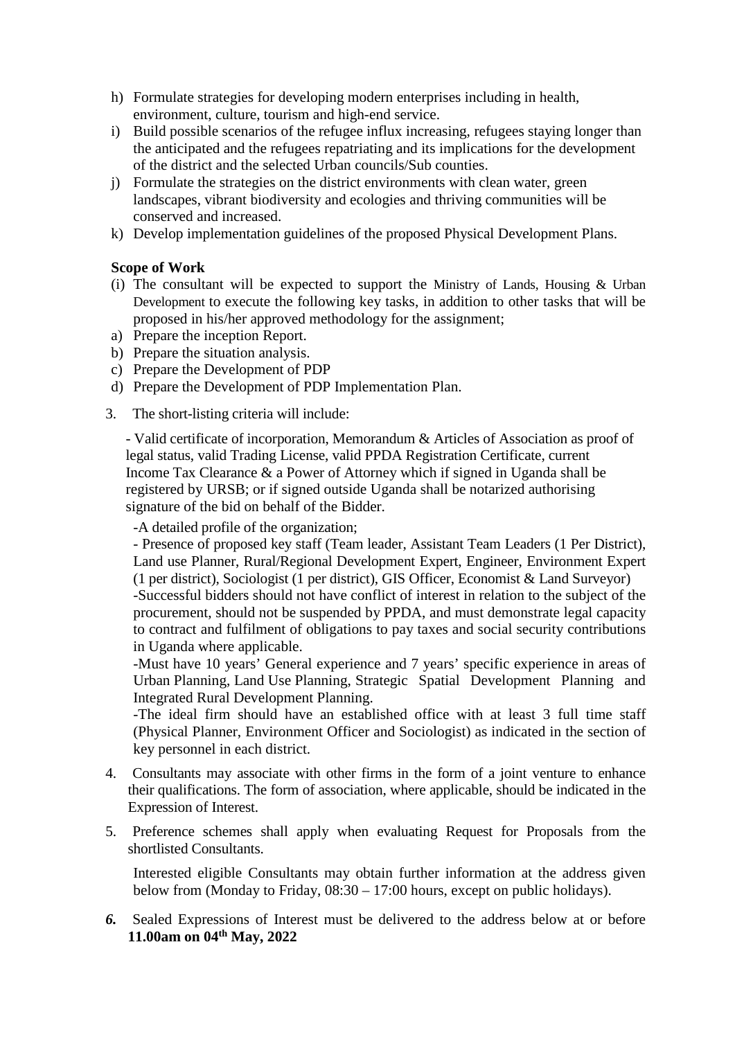- h) Formulate strategies for developing modern enterprises including in health, environment, culture, tourism and high-end service.
- i) Build possible scenarios of the refugee influx increasing, refugees staying longer than the anticipated and the refugees repatriating and its implications for the development of the district and the selected Urban councils/Sub counties.
- j) Formulate the strategies on the district environments with clean water, green landscapes, vibrant biodiversity and ecologies and thriving communities will be conserved and increased.
- k) Develop implementation guidelines of the proposed Physical Development Plans.

## **Scope of Work**

- (i) The consultant will be expected to support the Ministry of Lands, Housing & Urban Development to execute the following key tasks, in addition to other tasks that will be proposed in his/her approved methodology for the assignment;
- a) Prepare the inception Report.
- b) Prepare the situation analysis.
- c) Prepare the Development of PDP
- d) Prepare the Development of PDP Implementation Plan.
- 3. The short-listing criteria will include:

- Valid certificate of incorporation, Memorandum & Articles of Association as proof of legal status, valid Trading License, valid PPDA Registration Certificate, current Income Tax Clearance & a Power of Attorney which if signed in Uganda shall be registered by URSB; or if signed outside Uganda shall be notarized authorising signature of the bid on behalf of the Bidder.

-A detailed profile of the organization;

- Presence of proposed key staff (Team leader, Assistant Team Leaders (1 Per District), Land use Planner, Rural/Regional Development Expert, Engineer, Environment Expert (1 per district), Sociologist (1 per district), GIS Officer, Economist & Land Surveyor) -Successful bidders should not have conflict of interest in relation to the subject of the procurement, should not be suspended by PPDA, and must demonstrate legal capacity to contract and fulfilment of obligations to pay taxes and social security contributions in Uganda where applicable.

 -Must have 10 years' General experience and 7 years' specific experience in areas of Urban Planning, Land Use Planning, Strategic Spatial Development Planning and Integrated Rural Development Planning.

 -The ideal firm should have an established office with at least 3 full time staff (Physical Planner, Environment Officer and Sociologist) as indicated in the section of key personnel in each district.

- 4. Consultants may associate with other firms in the form of a joint venture to enhance their qualifications. The form of association, where applicable, should be indicated in the Expression of Interest.
- 5. Preference schemes shall apply when evaluating Request for Proposals from the shortlisted Consultants.

Interested eligible Consultants may obtain further information at the address given below from (Monday to Friday, 08:30 – 17:00 hours, except on public holidays).

*6.* Sealed Expressions of Interest must be delivered to the address below at or before **11.00am on 04th May, 2022**